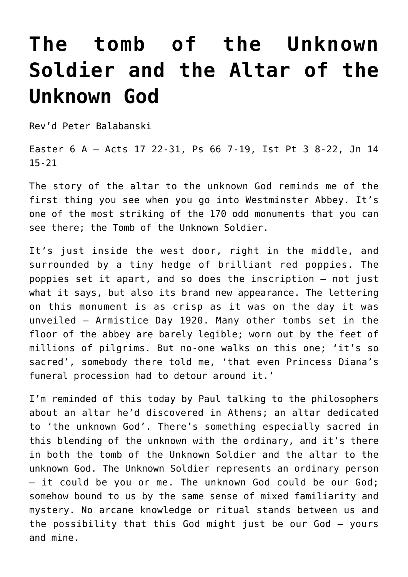## **[The tomb of the Unknown](http://stjohnsadelaide.org.au/the-tomb-of-the-unknown-soldier-and-the-altar-of-the-unknown-god/) [Soldier and the Altar of the](http://stjohnsadelaide.org.au/the-tomb-of-the-unknown-soldier-and-the-altar-of-the-unknown-god/) [Unknown God](http://stjohnsadelaide.org.au/the-tomb-of-the-unknown-soldier-and-the-altar-of-the-unknown-god/)**

Rev'd Peter Balabanski

Easter 6 A – Acts 17 22-31, Ps 66 7-19, Ist Pt 3 8-22, Jn 14 15-21

The story of the altar to the unknown God reminds me of the first thing you see when you go into Westminster Abbey. It's one of the most striking of the 170 odd monuments that you can see there; the Tomb of the Unknown Soldier.

It's just inside the west door, right in the middle, and surrounded by a tiny hedge of brilliant red poppies. The poppies set it apart, and so does the inscription – not just what it says, but also its brand new appearance. The lettering on this monument is as crisp as it was on the day it was unveiled – Armistice Day 1920. Many other tombs set in the floor of the abbey are barely legible; worn out by the feet of millions of pilgrims. But no-one walks on this one; 'it's so sacred', somebody there told me, 'that even Princess Diana's funeral procession had to detour around it.'

I'm reminded of this today by Paul talking to the philosophers about an altar he'd discovered in Athens; an altar dedicated to 'the unknown God'. There's something especially sacred in this blending of the unknown with the ordinary, and it's there in both the tomb of the Unknown Soldier and the altar to the unknown God. The Unknown Soldier represents an ordinary person – it could be you or me. The unknown God could be our God; somehow bound to us by the same sense of mixed familiarity and mystery. No arcane knowledge or ritual stands between us and the possibility that this God might just be our God – yours and mine.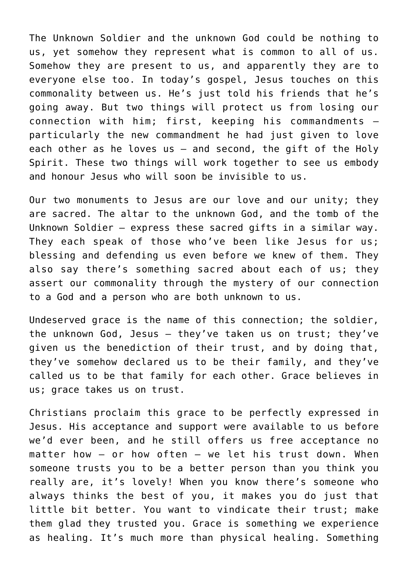The Unknown Soldier and the unknown God could be nothing to us, yet somehow they represent what is common to all of us. Somehow they are present to us, and apparently they are to everyone else too. In today's gospel, Jesus touches on this commonality between us. He's just told his friends that he's going away. But two things will protect us from losing our connection with him; first, keeping his commandments – particularly the new commandment he had just given to love each other as he loves us – and second, the gift of the Holy Spirit. These two things will work together to see us embody and honour Jesus who will soon be invisible to us.

Our two monuments to Jesus are our love and our unity; they are sacred. The altar to the unknown God, and the tomb of the Unknown Soldier – express these sacred gifts in a similar way. They each speak of those who've been like Jesus for us; blessing and defending us even before we knew of them. They also say there's something sacred about each of us; they assert our commonality through the mystery of our connection to a God and a person who are both unknown to us.

Undeserved grace is the name of this connection; the soldier, the unknown God, Jesus – they've taken us on trust; they've given us the benediction of their trust, and by doing that, they've somehow declared us to be their family, and they've called us to be that family for each other. Grace believes in us; grace takes us on trust.

Christians proclaim this grace to be perfectly expressed in Jesus. His acceptance and support were available to us before we'd ever been, and he still offers us free acceptance no matter how  $-$  or how often  $-$  we let his trust down. When someone trusts you to be a better person than you think you really are, it's lovely! When you know there's someone who always thinks the best of you, it makes you do just that little bit better. You want to vindicate their trust; make them glad they trusted you. Grace is something we experience as healing. It's much more than physical healing. Something